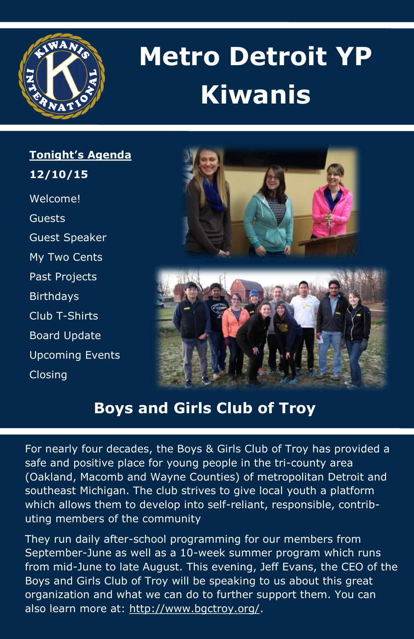

# **Metro Detroit YP Kiwanis**

**Tonight's Agenda 12/10/15**  Welcome! Guests Guest Speaker My Two Cents Past Projects **Birthdays** Club T-Shirts Board Update Upcoming Events Closing



## **Boys and Girls Club of Troy**

For nearly four decades, the Boys & Girls Club of Troy has provided a safe and positive place for young people in the tri-county area (Oakland, Macomb and Wayne Counties) of metropolitan Detroit and southeast Michigan. The club strives to give local youth a platform which allows them to develop into self-reliant, responsible, contributing members of the community

They run daily after-school programming for our members from September-June as well as a 10-week summer program which runs from mid-June to late August. This evening, Jeff Evans, the CEO of the Boys and Girls Club of Troy will be speaking to us about this great organization and what we can do to further support them. You can also learn more at: [http://www.bgctroy.org/.](http://www.bgctroy.org/)